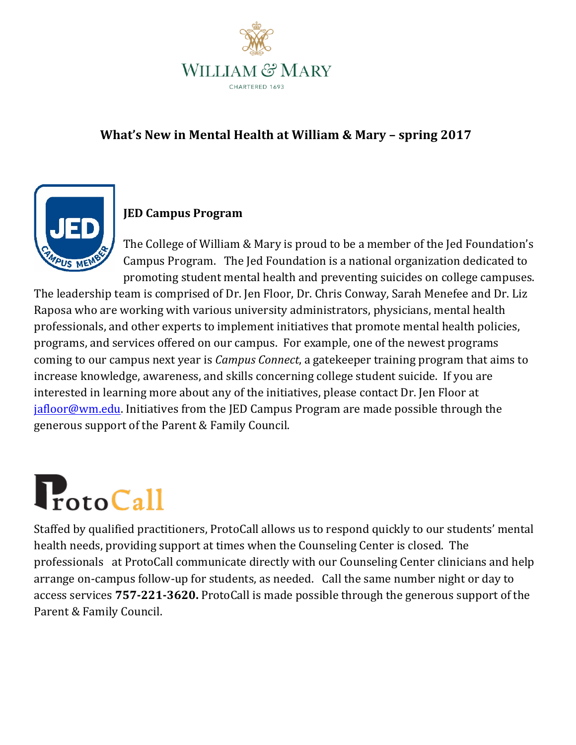

## **What's New in Mental Health at William & Mary - spring 2017**



### **JED Campus Program**

The College of William & Mary is proud to be a member of the Jed Foundation's Campus Program. The Jed Foundation is a national organization dedicated to promoting student mental health and preventing suicides on college campuses.

The leadership team is comprised of Dr. Jen Floor, Dr. Chris Conway, Sarah Menefee and Dr. Liz Raposa who are working with various university administrators, physicians, mental health professionals, and other experts to implement initiatives that promote mental health policies, programs, and services offered on our campus. For example, one of the newest programs coming to our campus next year is *Campus Connect*, a gatekeeper training program that aims to increase knowledge, awareness, and skills concerning college student suicide. If you are interested in learning more about any of the initiatives, please contact Dr. Jen Floor at jafloor@wm.edu. Initiatives from the JED Campus Program are made possible through the generous support of the Parent & Family Council.

# **P**rotoCall

Staffed by qualified practitioners, ProtoCall allows us to respond quickly to our students' mental health needs, providing support at times when the Counseling Center is closed. The professionals at ProtoCall communicate directly with our Counseling Center clinicians and help arrange on-campus follow-up for students, as needed. Call the same number night or day to access services **757-221-3620.** ProtoCall is made possible through the generous support of the Parent & Family Council.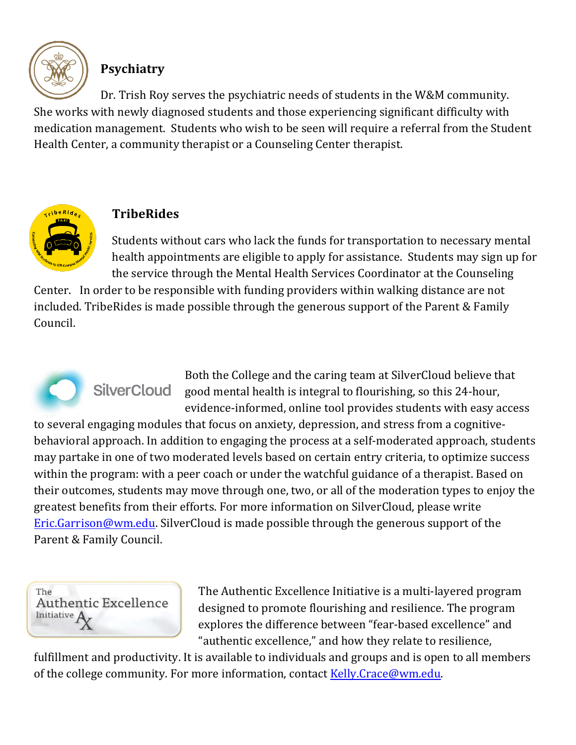

# **Psychiatry**

Dr. Trish Roy serves the psychiatric needs of students in the W&M community. She works with newly diagnosed students and those experiencing significant difficulty with medication management. Students who wish to be seen will require a referral from the Student Health Center, a community therapist or a Counseling Center therapist.



#### **TribeRides**

Students without cars who lack the funds for transportation to necessary mental health appointments are eligible to apply for assistance. Students may sign up for the service through the Mental Health Services Coordinator at the Counseling

Center. In order to be responsible with funding providers within walking distance are not included. TribeRides is made possible through the generous support of the Parent & Family Council. 

**SilverCloud** 

Both the College and the caring team at SilverCloud believe that good mental health is integral to flourishing, so this 24-hour, evidence-informed, online tool provides students with easy access

to several engaging modules that focus on anxiety, depression, and stress from a cognitivebehavioral approach. In addition to engaging the process at a self-moderated approach, students may partake in one of two moderated levels based on certain entry criteria, to optimize success within the program: with a peer coach or under the watchful guidance of a therapist. Based on their outcomes, students may move through one, two, or all of the moderation types to enjoy the greatest benefits from their efforts. For more information on SilverCloud, please write  $Eric.Garrison@wm.edu$ . SilverCloud is made possible through the generous support of the Parent & Family Council.



The Authentic Excellence Initiative is a multi-layered program designed to promote flourishing and resilience. The program explores the difference between "fear-based excellence" and "authentic excellence," and how they relate to resilience,

fulfillment and productivity. It is available to individuals and groups and is open to all members of the college community. For more information, contact Kelly.Crace@wm.edu.